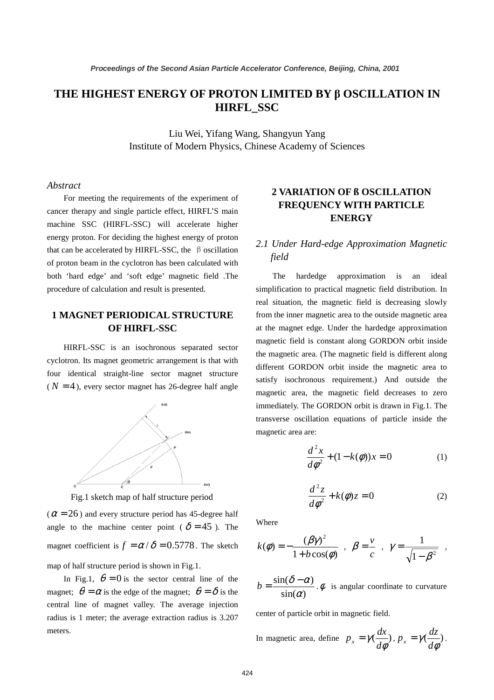# **THE HIGHEST ENERGY OF PROTON LIMITED BY** β **OSCILLATION IN HIRFL\_SSC**

Liu Wei, Yifang Wang, Shangyun Yang Institute of Modern Physics, Chinese Academy of Sciences

#### *Abstract*

For meeting the requirements of the experiment of cancer therapy and single particle effect, HIRFL'S main machine SSC (HIRFL-SSC) will accelerate higher energy proton. For deciding the highest energy of proton that can be accelerated by HIRFL-SSC, the  $\beta$  oscillation of proton beam in the cyclotron has been calculated with both 'hard edge' and 'soft edge' magnetic field .The procedure of calculation and result is presented.

### **1 MAGNET PERIODICAL STRUCTURE OF HIRFL-SSC**

HIRFL-SSC is an isochronous separated sector cyclotron. Its magnet geometric arrangement is that with four identical straight-line sector magnet structure  $(N = 4)$ , every sector magnet has 26-degree half angle



Fig.1 sketch map of half structure period

 $(\alpha = 26)$  and every structure period has 45-degree half angle to the machine center point (  $\delta = 45$  ). The magnet coefficient is  $f = \alpha / \delta = 0.5778$ . The sketch map of half structure period is shown in Fig.1.

In Fig.1,  $\theta = 0$  is the sector central line of the magnet;  $\theta = \alpha$  is the edge of the magnet;  $\theta = \delta$  is the central line of magnet valley. The average injection radius is 1 meter; the average extraction radius is 3.207 meters.

### **2 VARIATION OF ß OSCILLATION FREQUENCY WITH PARTICLE ENERGY**

## *2.1 Under Hard-edge Approximation Magnetic field*

The hardedge approximation is an ideal simplification to practical magnetic field distribution. In real situation, the magnetic field is decreasing slowly from the inner magnetic area to the outside magnetic area at the magnet edge. Under the hardedge approximation magnetic field is constant along GORDON orbit inside the magnetic area. (The magnetic field is different along different GORDON orbit inside the magnetic area to satisfy isochronous requirement.) And outside the magnetic area, the magnetic field decreases to zero immediately. The GORDON orbit is drawn in Fig.1. The transverse oscillation equations of particle inside the magnetic area are:

$$
\frac{d^2x}{d\phi^2} + (1 - k(\phi))x = 0
$$
 (1)

$$
\frac{d^2z}{d\phi^2} + k(\phi)z = 0
$$
 (2)

Where

$$
k(\phi) = -\frac{(\beta \gamma)^2}{1 + b \cos(\phi)} , \quad \beta = \frac{v}{c} , \quad \gamma = \frac{1}{\sqrt{1 - \beta^2}} ,
$$

 $sin(\alpha)$  $\sin(\delta - \alpha)$  $b = \frac{\sin(\delta - \alpha)}{\sin(\alpha)}$ .  $\phi$  is angular coordinate to curvature

center of particle orbit in magnetic field.

In magnetic area, define 
$$
p_x = \gamma(\frac{dx}{d\phi}), p_x = \gamma(\frac{dz}{d\phi}).
$$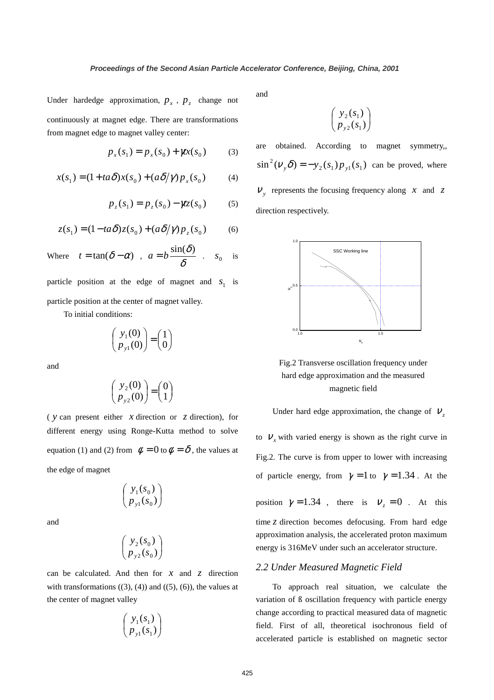Under hardedge approximation,  $p_x$ ,  $p_z$  change not continuously at magnet edge. There are transformations from magnet edge to magnet valley center:

$$
p_x(s_1) = p_x(s_0) + \gamma x(s_0)
$$
 (3)

$$
x(s_1) = (1 + ta\delta)x(s_0) + (a\delta/\gamma)p_x(s_0)
$$
 (4)

$$
p_z(s_1) = p_z(s_0) - \gamma z(s_0)
$$
 (5)

$$
z(s_1) = (1 - ta\delta)z(s_0) + (a\delta/\gamma)p_z(s_0)
$$
 (6)

Where  $t = \tan(\delta - \alpha)$ ,  $a = b \frac{\sin(\delta)}{\delta}$ . *s*<sub>0</sub> is

particle position at the edge of magnet and  $s_1$  is particle position at the center of magnet valley.

To initial conditions:

$$
\begin{pmatrix} y_1(0) \\ p_{y1}(0) \end{pmatrix} = \begin{pmatrix} 1 \\ 0 \end{pmatrix}
$$

and

$$
\begin{pmatrix} y_2(0) \\ p_{y2}(0) \end{pmatrix} = \begin{pmatrix} 0 \\ 1 \end{pmatrix}
$$

( *y* can present either *x* direction or *z* direction), for different energy using Ronge-Kutta method to solve equation (1) and (2) from  $\phi = 0$  to  $\phi = \delta$ , the values at the edge of magnet

$$
\begin{pmatrix} y_1(s_0) \\ p_{y1}(s_0) \end{pmatrix}
$$

and

$$
\begin{pmatrix} y_2(s_0) \\ p_{y2}(s_0) \end{pmatrix}
$$

can be calculated. And then for *x* and *z* direction with transformations  $((3), (4))$  and  $((5), (6))$ , the values at the center of magnet valley

$$
\begin{pmatrix} y_1(s_1) \\ p_{y1}(s_1) \end{pmatrix}
$$

and

$$
\begin{pmatrix} y_2(s_1) \\ p_{y2}(s_1) \end{pmatrix}
$$

are obtained. According to magnet symmetry,,  $\sin^2(V_y \delta) = -y_2(s_1) p_{y_1}(s_1)$  can be proved, where  $V<sub>y</sub>$  represents the focusing frequency along *x* and *z* direction respectively.



Fig.2 Transverse oscillation frequency under hard edge approximation and the measured magnetic field

Under hard edge approximation, the change of  $V<sub>z</sub>$ 

to  $V<sub>x</sub>$  with varied energy is shown as the right curve in Fig.2. The curve is from upper to lower with increasing of particle energy, from  $\gamma = 1$  to  $\gamma = 1.34$ . At the position  $\gamma = 1.34$ , there is  $v_z = 0$ . At this time *z* direction becomes defocusing. From hard edge approximation analysis, the accelerated proton maximum energy is 316MeV under such an accelerator structure.

#### *2.2 Under Measured Magnetic Field*

To approach real situation, we calculate the variation of ß oscillation frequency with particle energy change according to practical measured data of magnetic field. First of all, theoretical isochronous field of accelerated particle is established on magnetic sector